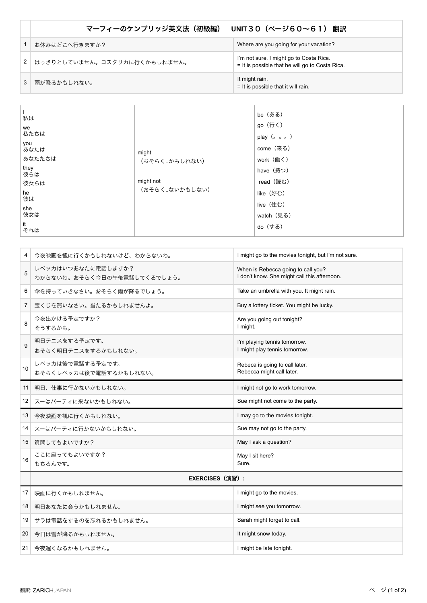| マーフィーのケンブリッジ英文法(初級編)<br>UNIT30(ページ60〜61) 翻訳 |                                                                                            |  |
|---------------------------------------------|--------------------------------------------------------------------------------------------|--|
| お休みはどこへ行きますか?                               | Where are you going for your vacation?                                                     |  |
| はっきりとしていません。コスタリカに行くかもしれません。                | I'm not sure. I might go to Costa Rica.<br>= It is possible that he will go to Costa Rica. |  |
| 雨が降るかもしれない。                                 | It might rain.<br>$=$ It is possible that it will rain.                                    |  |

| 私は          |               | be (ある)                           |
|-------------|---------------|-----------------------------------|
| we<br>私たちは  |               | go (行く)<br>play $(a \circ \circ)$ |
| you<br>あなたは | might         | come (来る)                         |
| あなたたちは      | (おそらく…かもしれない) | work (働く)                         |
| they<br>彼らは |               | have (持つ)                         |
| 彼女らは        | might not     | read (読む)                         |
| he<br>彼は    | (おそらくないかもしない) | like (好む)                         |
| she         |               | live (住む)                         |
| 彼女は         |               | watch (見る)                        |
| it<br>それは   |               | do (する)                           |

| 4              | 今夜映画を観に行くかもしれないけど、わからないわ。                         | I might go to the movies tonight, but I'm not sure.                                |  |
|----------------|---------------------------------------------------|------------------------------------------------------------------------------------|--|
| 5              | レベッカはいつあなたに電話しますか?<br>わからないわ。おそらく今日の午後電話してくるでしょう。 | When is Rebecca going to call you?<br>I don't know. She might call this afternoon. |  |
| 6              | 傘を持っていきなさい。おそらく雨が降るでしょう。                          | Take an umbrella with you. It might rain.                                          |  |
| $\overline{7}$ | 宝くじを買いなさい。当たるかもしれませんよ。                            | Buy a lottery ticket. You might be lucky.                                          |  |
| 8              | 今夜出かける予定ですか?<br>そうするかも。                           | Are you going out tonight?<br>I might.                                             |  |
| 9              | 明日テニスをする予定です。<br>おそらく明日テニスをするかもしれない。              | I'm playing tennis tomorrow.<br>I might play tennis tomorrow.                      |  |
| 10             | レベッカは後で電話する予定です。<br>おそらくレベッカは後で電話するかもしれない。        | Rebeca is going to call later.<br>Rebecca might call later.                        |  |
| 11             | 明日、仕事に行かないかもしれない。                                 | I might not go to work tomorrow.                                                   |  |
| 12             | スーはパーティに来ないかもしれない。                                | Sue might not come to the party.                                                   |  |
| 13             | 今夜映画を観に行くかもしれない。                                  | I may go to the movies tonight.                                                    |  |
| 14             | スーはパーティに行かないかもしれない。                               | Sue may not go to the party.                                                       |  |
| 15             | 質問してもよいですか?                                       | May I ask a question?                                                              |  |
| 16             | ここに座ってもよいですか?<br>もちろんです。                          | May I sit here?<br>Sure.                                                           |  |
|                | <b>EXERCISES</b> (演習) :                           |                                                                                    |  |
| 17             | 映画に行くかもしれません。                                     | I might go to the movies.                                                          |  |
| 18             | 明日あなたに会うかもしれません。                                  | I might see you tomorrow.                                                          |  |
| 19             | サラは電話をするのを忘れるかもしれません。                             | Sarah might forget to call.                                                        |  |
| 20             | 今日は雪が降るかもしれません。                                   | It might snow today.                                                               |  |
| 21             | 今夜遅くなるかもしれません。                                    | I might be late tonight.                                                           |  |